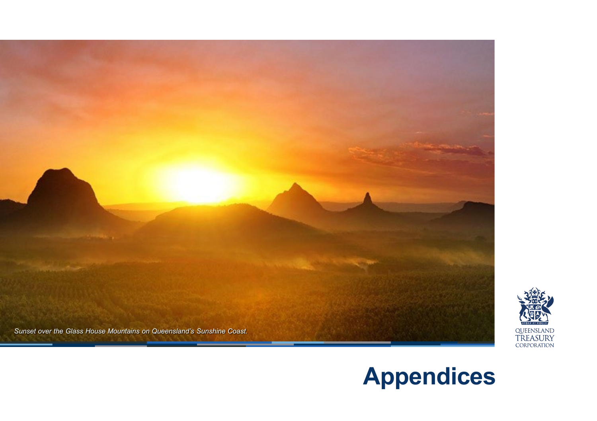



# **Appendices**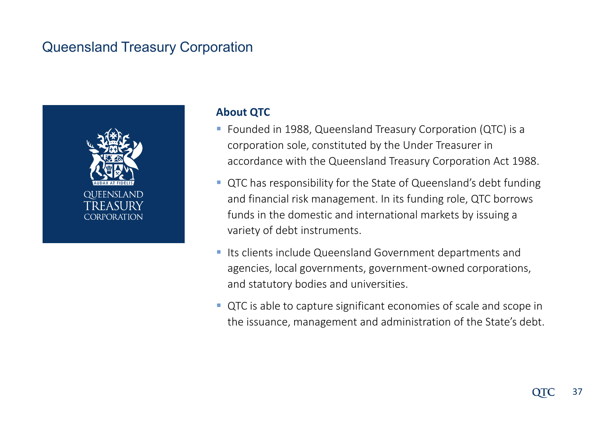## Queensland Treasury Corporation



### **About QTC**

- **Founded in 1988, Queensland Treasury Corporation (QTC) is a** corporation sole, constituted by the Under Treasurer in accordance with the Queensland Treasury Corporation Act 1988.
- QTC has responsibility for the State of Queensland's debt funding and financial risk management. In its funding role, QTC borrows funds in the domestic and international markets by issuing a variety of debt instruments.
- Its clients include Queensland Government departments and agencies, local governments, government-owned corporations, and statutory bodies and universities.
- QTC is able to capture significant economies of scale and scope in the issuance, management and administration of the State's debt.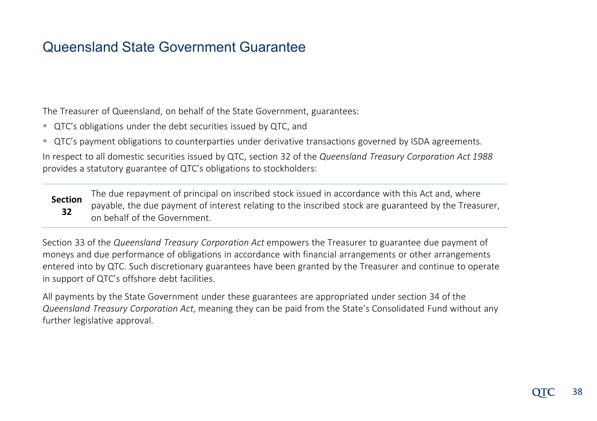## Queensland State Government Guarantee

The Treasurer of Queensland, on behalf of the State Government, guarantees:

- QTC's obligations under the debt securities issued by QTC, and
- QTC's payment obligations to counterparties under derivative transactions governed by ISDA agreements.

In respect to all domestic securities issued by QTC, section 32 of the *Queensland Treasury Corporation Act 1988* provides a statutory guarantee of QTC's obligations to stockholders:

**Section 32** The due repayment of principal on inscribed stock issued in accordance with this Act and, where payable, the due payment of interest relating to the inscribed stock are guaranteed by the Treasurer, on behalf of the Government.

Section 33 of the *Queensland Treasury Corporation Act* empowers the Treasurer to guarantee due payment of moneys and due performance of obligations in accordance with financial arrangements or other arrangements entered into by QTC. Such discretionary guarantees have been granted by the Treasurer and continue to operate in support of QTC's offshore debt facilities.

All payments by the State Government under these guarantees are appropriated under section 34 of the *Queensland Treasury Corporation Act*, meaning they can be paid from the State's Consolidated Fund without any further legislative approval.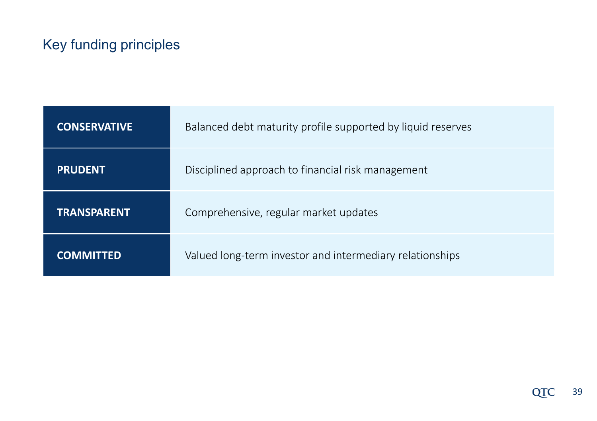## Key funding principles

| <b>CONSERVATIVE</b> | Balanced debt maturity profile supported by liquid reserves |
|---------------------|-------------------------------------------------------------|
| <b>PRUDENT</b>      | Disciplined approach to financial risk management           |
| <b>TRANSPARENT</b>  | Comprehensive, regular market updates                       |
| <b>COMMITTED</b>    | Valued long-term investor and intermediary relationships    |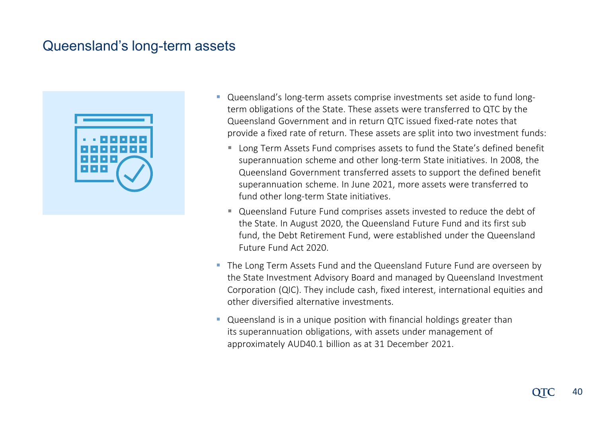## Queensland's long-term assets



- Queensland's long-term assets comprise investments set aside to fund longterm obligations of the State. These assets were transferred to QTC by the Queensland Government and in return QTC issued fixed-rate notes that provide a fixed rate of return. These assets are split into two investment funds:
	- Long Term Assets Fund comprises assets to fund the State's defined benefit superannuation scheme and other long-term State initiatives. In 2008, the Queensland Government transferred assets to support the defined benefit superannuation scheme. In June 2021, more assets were transferred to fund other long-term State initiatives.
	- Queensland Future Fund comprises assets invested to reduce the debt of the State. In August 2020, the Queensland Future Fund and its first sub fund, the Debt Retirement Fund, were established under the Queensland Future Fund Act 2020.
- The Long Term Assets Fund and the Queensland Future Fund are overseen by the State Investment Advisory Board and managed by Queensland Investment Corporation (QIC). They include cash, fixed interest, international equities and other diversified alternative investments.
- Queensland is in a unique position with financial holdings greater than its superannuation obligations, with assets under management of approximately AUD40.1 billion as at 31 December 2021.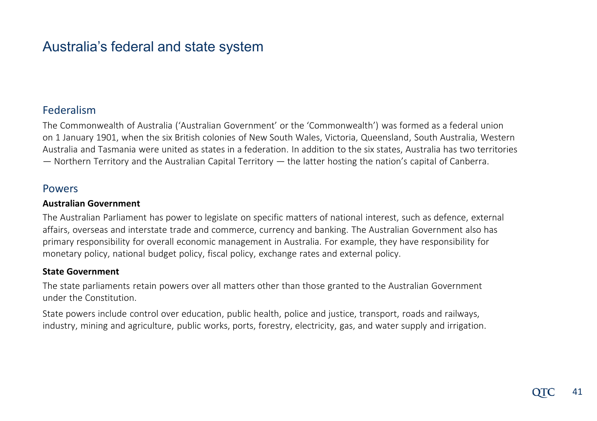## Australia's federal and state system

### Federalism

The Commonwealth of Australia ('Australian Government' or the 'Commonwealth') was formed as a federal union on 1 January 1901, when the six British colonies of New South Wales, Victoria, Queensland, South Australia, Western Australia and Tasmania were united as states in a federation. In addition to the six states, Australia has two territories — Northern Territory and the Australian Capital Territory — the latter hosting the nation's capital of Canberra.

### Powers

#### **Australian Government**

The Australian Parliament has power to legislate on specific matters of national interest, such as defence, external affairs, overseas and interstate trade and commerce, currency and banking. The Australian Government also has primary responsibility for overall economic management in Australia. For example, they have responsibility for monetary policy, national budget policy, fiscal policy, exchange rates and external policy.

#### **State Government**

The state parliaments retain powers over all matters other than those granted to the Australian Government under the Constitution.

State powers include control over education, public health, police and justice, transport, roads and railways, industry, mining and agriculture, public works, ports, forestry, electricity, gas, and water supply and irrigation.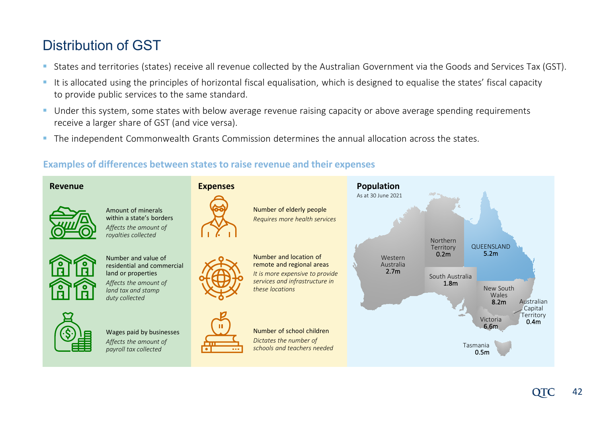## Distribution of GST

- States and territories (states) receive all revenue collected by the Australian Government via the Goods and Services Tax (GST).
- It is allocated using the principles of horizontal fiscal equalisation, which is designed to equalise the states' fiscal capacity to provide public services to the same standard.
- Under this system, some states with below average revenue raising capacity or above average spending requirements receive a larger share of GST (and vice versa).
- The independent Commonwealth Grants Commission determines the annual allocation across the states.

### **Examples of differences between states to raise revenue and their expenses**

#### **Revenue**



Amount of minerals within a state's borders *Affects the amount of royalties collected*



Number and value of residential and commercial land or properties *Affects the amount of land tax and stamp duty collected*



Wages paid by businesses *Affects the amount of payroll tax collected*







Number and location of remote and regional areas *It is more expensive to provide services and infrastructure in these locations*

Number of elderly people *Requires more health services*



Number of school children *Dictates the number of schools and teachers needed*

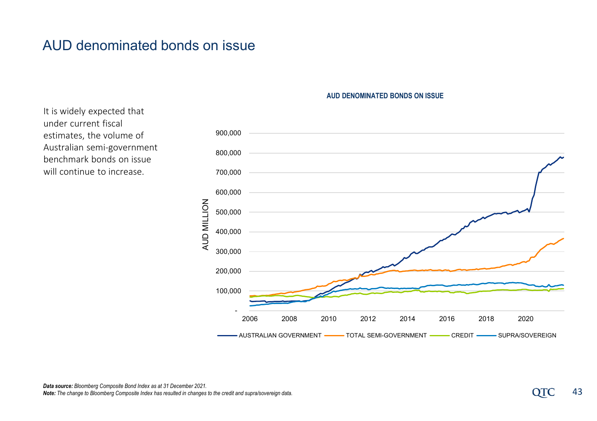### AUD denominated bonds on issue

It is widely expected that under current fiscal estimates, the volume of Australian semi-government benchmark bonds on issue will continue to increase.



#### **AUD DENOMINATED BONDS ON ISSUE**

*Data source: Bloomberg Composite Bond Index as at 31 December 2021. Note: The change to Bloomberg Composite Index has resulted in changes to the credit and supra/sovereign data.*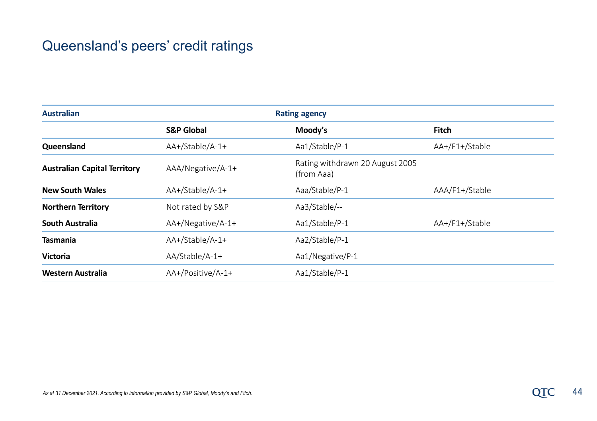## Queensland's peers' credit ratings

| <b>Australian</b>                   |                       | <b>Rating agency</b>                          |                |
|-------------------------------------|-----------------------|-----------------------------------------------|----------------|
|                                     | <b>S&amp;P Global</b> | Moody's                                       | <b>Fitch</b>   |
| Queensland                          | AA+/Stable/A-1+       | Aa1/Stable/P-1                                | AA+/F1+/Stable |
| <b>Australian Capital Territory</b> | AAA/Negative/A-1+     | Rating withdrawn 20 August 2005<br>(from Aaa) |                |
| <b>New South Wales</b>              | AA+/Stable/A-1+       | Aaa/Stable/P-1                                | AAA/F1+/Stable |
| <b>Northern Territory</b>           | Not rated by S&P      | Aa3/Stable/--                                 |                |
| South Australia                     | $AA+/Negative/A-1+$   | Aa1/Stable/P-1                                | AA+/F1+/Stable |
| <b>Tasmania</b>                     | AA+/Stable/A-1+       | Aa2/Stable/P-1                                |                |
| <b>Victoria</b>                     | AA/Stable/A-1+        | Aa1/Negative/P-1                              |                |
| Western Australia                   | AA+/Positive/A-1+     | Aa1/Stable/P-1                                |                |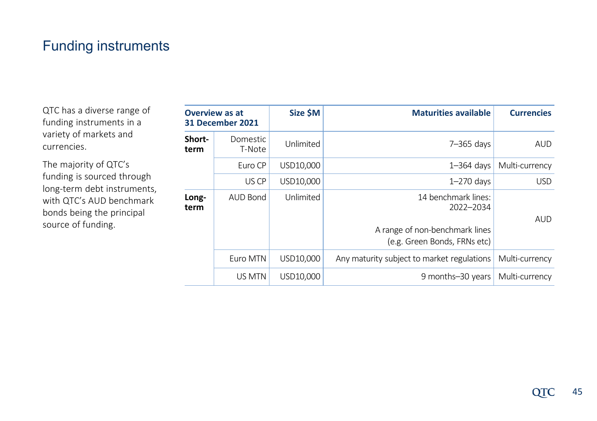## Funding instruments

QTC has a diverse range of funding instruments in a variety of markets and currencies.

The majority of QTC's funding is sourced through long-term debt instruments, with QTC's AUD benchmark bonds being the principal source of funding.

|                | <b>Overview as at</b><br><b>31 December 2021</b> | Size \$M  | <b>Maturities available</b>                                    | <b>Currencies</b> |
|----------------|--------------------------------------------------|-----------|----------------------------------------------------------------|-------------------|
| Short-<br>term | Domestic<br>T-Note                               | Unlimited | 7-365 days                                                     | <b>AUD</b>        |
|                | Euro CP                                          | USD10,000 | $1 - 364$ days                                                 | Multi-currency    |
|                | US CP                                            | USD10,000 | $1 - 270$ days                                                 | <b>USD</b>        |
| Long-<br>term  | AUD Bond                                         | Unlimited | 14 benchmark lines:<br>2022-2034                               | <b>AUD</b>        |
|                |                                                  |           | A range of non-benchmark lines<br>(e.g. Green Bonds, FRNs etc) |                   |
|                | Euro MTN                                         | USD10,000 | Any maturity subject to market regulations                     | Multi-currency    |
|                | US MTN                                           | USD10,000 | 9 months-30 years                                              | Multi-currency    |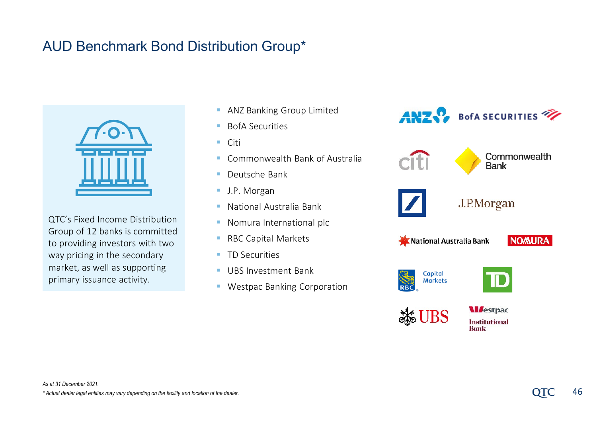## AUD Benchmark Bond Distribution Group\*



QTC's Fixed Income Distribution Group of 12 banks is committed to providing investors with two way pricing in the secondary market, as well as supporting primary issuance activity.

- **ANZ Banking Group Limited**
- **BofA** Securities
- $\Box$ Citi
- **Commonwealth Bank of Australia**
- **Deutsche Bank**
- **J.P. Morgan**
- National Australia Bank
- **Nomura International plc**
- **RBC Capital Markets**
- **TD Securities**
- **UBS Investment Bank**
- **Westpac Banking Corporation**



Bank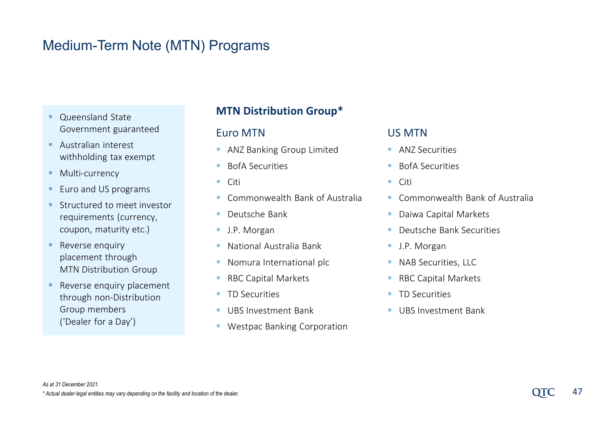## Medium-Term Note (MTN) Programs

- **Cueensland State** Government guaranteed
- **Australian interest** withholding tax exempt
- **Multi-currency**
- Euro and US programs
- Structured to meet investor requirements (currency, coupon, maturity etc.)
- **Reverse enquiry** placement through MTN Distribution Group
- Reverse enquiry placement through non-Distribution Group members ('Dealer for a Day')

### **MTN Distribution Group\***

### Euro MTN

- **ANZ Banking Group Limited**
- **BofA** Securities
- Citi
- **Commonwealth Bank of Australia**
- **Deutsche Bank**
- J.P. Morgan
- National Australia Bank
- **Nomura International plc**
- **RBC Capital Markets**
- **TD Securities**
- **UBS Investment Bank**
- **Westpac Banking Corporation**

### US MTN

- **ANZ Securities**
- BofA Securities
- Citi
- **Commonwealth Bank of Australia**
- Daiwa Capital Markets
- **Deutsche Bank Securities**
- J.P. Morgan
- **NAB Securities, LLC**
- **RBC Capital Markets**
- **TD Securities**
- **UBS Investment Bank**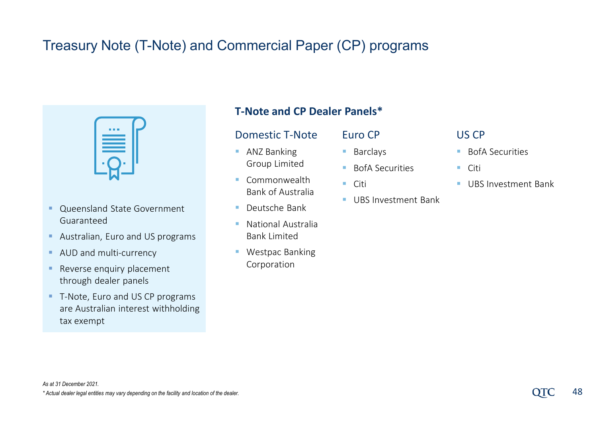## Treasury Note (T-Note) and Commercial Paper (CP) programs



- Queensland State Government Guaranteed
- Australian, Euro and US programs
- **AUD and multi-currency**
- Reverse enquiry placement through dealer panels
- T-Note, Euro and US CP programs are Australian interest withholding tax exempt

### **T-Note and CP Dealer Panels\***

### Domestic T-Note

- **ANZ Banking** Group Limited
- Commonwealth Bank of Australia
- **Deutsche Bank**
- **National Australia** Bank Limited
- **Westpac Banking** Corporation

### Euro CP

- **Barclays**
- **BofA** Securities
- $Citi$
- **UBS Investment Bank**

### US CP

- **BofA** Securities
- $C$ iti
- **UBS Investment Bank**

48

**QTC** 

*As at 31 December 2021. \* Actual dealer legal entities may vary depending on the facility and location of the dealer.*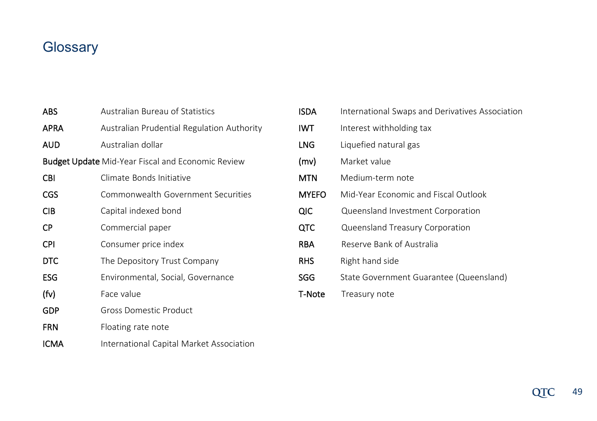## **Glossary**

| ABS                                                      | Australian Bureau of Statistics            |  |
|----------------------------------------------------------|--------------------------------------------|--|
| <b>APRA</b>                                              | Australian Prudential Regulation Authority |  |
| AUD                                                      | Australian dollar                          |  |
| <b>Budget Update Mid-Year Fiscal and Economic Review</b> |                                            |  |
| CBI                                                      | Climate Bonds Initiative                   |  |
| CGS                                                      | Commonwealth Government Securities         |  |
| CIB                                                      | Capital indexed bond                       |  |
| СP                                                       | Commercial paper                           |  |
| CPI                                                      | Consumer price index                       |  |
| <b>DTC</b>                                               | The Depository Trust Company               |  |
| <b>ESG</b>                                               | Environmental, Social, Governance          |  |
| (fv)                                                     | Face value                                 |  |
| <b>GDP</b>                                               | Gross Domestic Product                     |  |
| <b>FRN</b>                                               | Floating rate note                         |  |
| ICMA                                                     | International Capital Market Association   |  |

| ISDA         | International Swaps and Derivatives Association |
|--------------|-------------------------------------------------|
| IWT          | Interest withholding tax                        |
| LNG          | Liquefied natural gas                           |
| (mv)         | Market value                                    |
| MTN          | Medium-term note                                |
| <b>MYEFO</b> | Mid-Year Economic and Fiscal Outlook            |
| QIC          | Queensland Investment Corporation               |
| ОТС          | Queensland Treasury Corporation                 |
| RBA          | Reserve Bank of Australia                       |
| <b>RHS</b>   | Right hand side                                 |
| SGG          | State Government Guarantee (Queensland)         |
| T-Note       | Treasury note                                   |